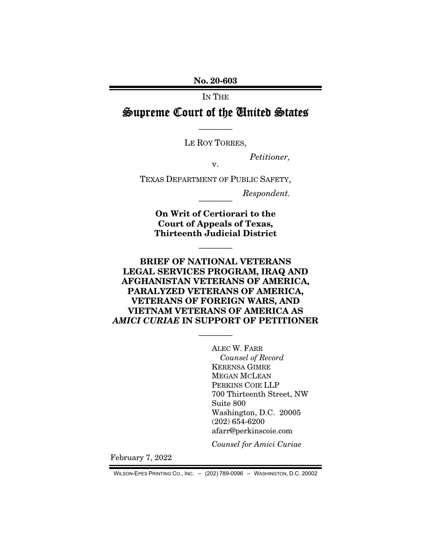No. 20-603

IN THE

Supreme Court of the United States

———— LE ROY TORRES,

*Petitioner,* 

v.

TEXAS DEPARTMENT OF PUBLIC SAFETY,

 $Respondent.$ 

On Writ of Certiorari to the Court of Appeals of Texas, Thirteenth Judicial District

————

BRIEF OF NATIONAL VETERANS LEGAL SERVICES PROGRAM, IRAQ AND AFGHANISTAN VETERANS OF AMERICA, PARALYZED VETERANS OF AMERICA, VETERANS OF FOREIGN WARS, AND VIETNAM VETERANS OF AMERICA AS *AMICI CURIAE* IN SUPPORT OF PETITIONER

————

ALEC W. FARR *Counsel of Record*  KERENSA GIMRE MEGAN MCLEAN PERKINS COIE LLP 700 Thirteenth Street, NW Suite 800 Washington, D.C. 20005 (202) 654-6200 afarr@perkinscoie.com

*Counsel for Amici Curiae* 

February 7, 2022

WILSON-EPES PRINTING CO., INC. – (202) 789-0096 – WASHINGTON, D.C. 20002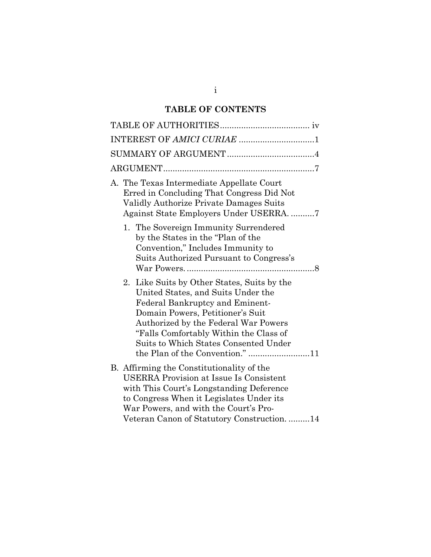## **TABLE OF CONTENTS**

| INTEREST OF AMICI CURIAE 1                                                                                                                                                                                                                                                                                             |
|------------------------------------------------------------------------------------------------------------------------------------------------------------------------------------------------------------------------------------------------------------------------------------------------------------------------|
|                                                                                                                                                                                                                                                                                                                        |
|                                                                                                                                                                                                                                                                                                                        |
| A. The Texas Intermediate Appellate Court<br>Erred in Concluding That Congress Did Not<br>Validly Authorize Private Damages Suits<br>Against State Employers Under USERRA. 7                                                                                                                                           |
| 1. The Sovereign Immunity Surrendered<br>by the States in the "Plan of the<br>Convention," Includes Immunity to<br>Suits Authorized Pursuant to Congress's                                                                                                                                                             |
| 2. Like Suits by Other States, Suits by the<br>United States, and Suits Under the<br>Federal Bankruptcy and Eminent-<br>Domain Powers, Petitioner's Suit<br>Authorized by the Federal War Powers<br>"Falls Comfortably Within the Class of<br>Suits to Which States Consented Under<br>the Plan of the Convention." 11 |
| B. Affirming the Constitutionality of the<br><b>USERRA Provision at Issue Is Consistent</b><br>with This Court's Longstanding Deference<br>to Congress When it Legislates Under its<br>War Powers, and with the Court's Pro-<br>Veteran Canon of Statutory Construction14                                              |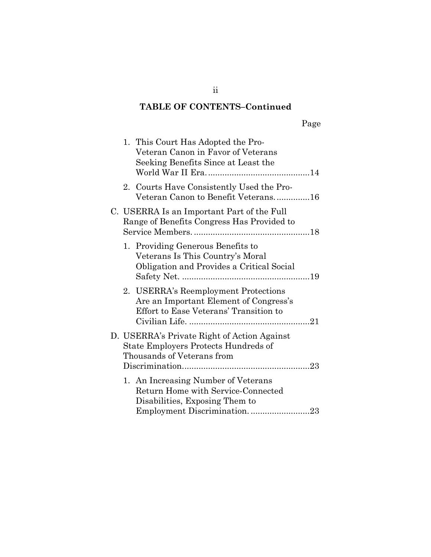# **TABLE OF CONTENTS–Continued**

|--|--|

|  | 1. This Court Has Adopted the Pro-<br>Veteran Canon in Favor of Veterans<br>Seeking Benefits Since at Least the          |
|--|--------------------------------------------------------------------------------------------------------------------------|
|  | 2. Courts Have Consistently Used the Pro-<br>Veteran Canon to Benefit Veterans16                                         |
|  | C. USERRA Is an Important Part of the Full<br>Range of Benefits Congress Has Provided to                                 |
|  | 1. Providing Generous Benefits to<br>Veterans Is This Country's Moral<br>Obligation and Provides a Critical Social       |
|  | 2. USERRA's Reemployment Protections<br>Are an Important Element of Congress's<br>Effort to Ease Veterans' Transition to |
|  | D. USERRA's Private Right of Action Against<br>State Employers Protects Hundreds of<br>Thousands of Veterans from        |
|  | 1. An Increasing Number of Veterans<br>Return Home with Service-Connected<br>Disabilities, Exposing Them to              |

ii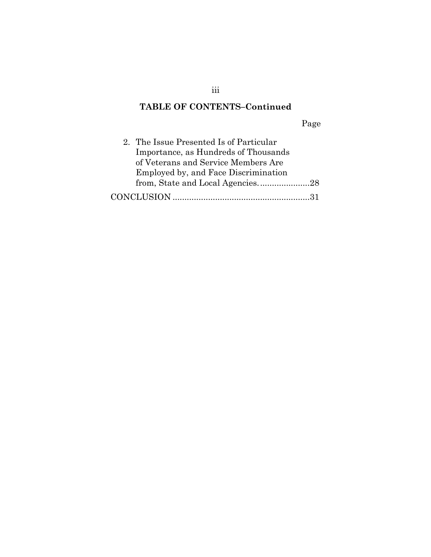# **TABLE OF CONTENTS–Continued**

Page

| 2. The Issue Presented Is of Particular |  |
|-----------------------------------------|--|
| Importance, as Hundreds of Thousands    |  |
| of Veterans and Service Members Are     |  |
| Employed by, and Face Discrimination    |  |
| from, State and Local Agencies28        |  |
|                                         |  |

iii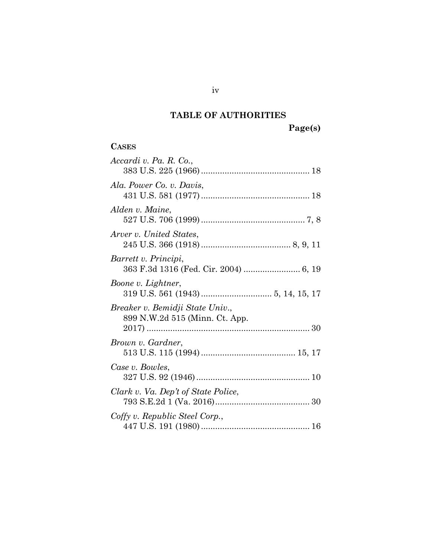# **TABLE OF AUTHORITIES**

**Page(s)**

### <span id="page-4-0"></span>**CASES**

| Accardi v. Pa. R. Co.,                                            |
|-------------------------------------------------------------------|
| Ala. Power Co. v. Davis,                                          |
| Alden v. Maine,                                                   |
| Arver v. United States,                                           |
| Barrett v. Principi,<br>363 F.3d 1316 (Fed. Cir. 2004)  6, 19     |
| Boone v. Lightner,                                                |
| Breaker v. Bemidji State Univ.,<br>899 N.W.2d 515 (Minn. Ct. App. |
| Brown v. Gardner,                                                 |
| Case v. Bowles,                                                   |
| Clark v. Va. Dep't of State Police,                               |
| Coffy v. Republic Steel Corp.,                                    |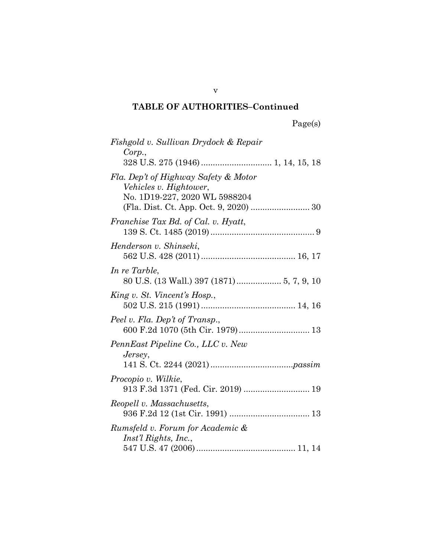| 'age(s) |  |
|---------|--|
|         |  |

| Fishgold v. Sullivan Drydock & Repair                                                           |  |
|-------------------------------------------------------------------------------------------------|--|
| Corp.,                                                                                          |  |
| Fla. Dep't of Highway Safety & Motor<br>Vehicles v. Hightower,<br>No. 1D19-227, 2020 WL 5988204 |  |
| Franchise Tax Bd. of Cal. v. Hyatt,                                                             |  |
| Henderson v. Shinseki,                                                                          |  |
| In re Tarble,<br>80 U.S. (13 Wall.) 397 (1871)  5, 7, 9, 10                                     |  |
| King v. St. Vincent's Hosp.,                                                                    |  |
| Peel v. Fla. Dep't of Transp.,<br>600 F.2d 1070 (5th Cir. 1979) 13                              |  |
| PennEast Pipeline Co., LLC v. New<br>Jersey,                                                    |  |
| Procopio v. Wilkie,<br>913 F.3d 1371 (Fed. Cir. 2019)  19                                       |  |
| Reopell v. Massachusetts,                                                                       |  |
| Rumsfeld v. Forum for Academic &<br>Inst'l Rights, Inc.,                                        |  |
|                                                                                                 |  |

v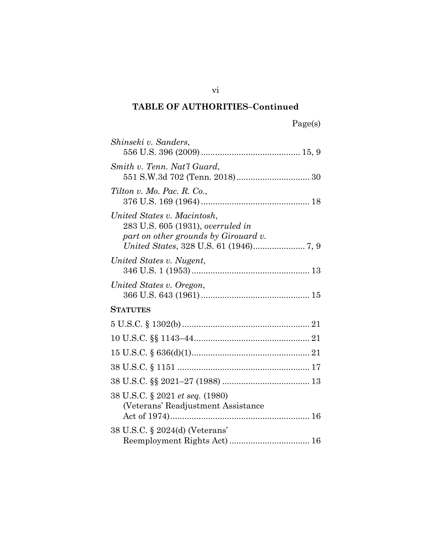| Shinseki v. Sanders,                                                                                     |
|----------------------------------------------------------------------------------------------------------|
| Smith v. Tenn. Nat'l Guard,                                                                              |
| Tilton v. Mo. Pac. R. Co.,                                                                               |
| United States v. Macintosh,<br>283 U.S. 605 (1931), overruled in<br>part on other grounds by Girouard v. |
| United States v. Nugent,                                                                                 |
| United States v. Oregon,                                                                                 |
| <b>STATUTES</b>                                                                                          |
|                                                                                                          |
|                                                                                                          |
|                                                                                                          |
|                                                                                                          |
|                                                                                                          |
| 38 U.S.C. § 2021 et seq. (1980)<br>(Veterans' Readjustment Assistance)                                   |
| 38 U.S.C. § 2024(d) (Veterans'                                                                           |

vi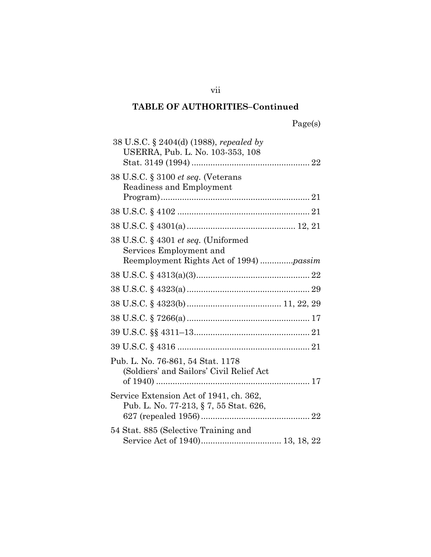| 38 U.S.C. § 2404(d) (1988), repealed by<br>USERRA, Pub. L. No. 103-353, 108                               |  |
|-----------------------------------------------------------------------------------------------------------|--|
|                                                                                                           |  |
| 38 U.S.C. § 3100 et seq. (Veterans<br>Readiness and Employment                                            |  |
|                                                                                                           |  |
|                                                                                                           |  |
| 38 U.S.C. § 4301 et seq. (Uniformed<br>Services Employment and<br>Reemployment Rights Act of 1994) passim |  |
|                                                                                                           |  |
|                                                                                                           |  |
|                                                                                                           |  |
|                                                                                                           |  |
|                                                                                                           |  |
|                                                                                                           |  |
| Pub. L. No. 76-861, 54 Stat. 1178<br>(Soldiers' and Sailors' Civil Relief Act                             |  |
| Service Extension Act of 1941, ch. 362,<br>Pub. L. No. 77-213, § 7, 55 Stat. 626,                         |  |
| 54 Stat. 885 (Selective Training and                                                                      |  |

vii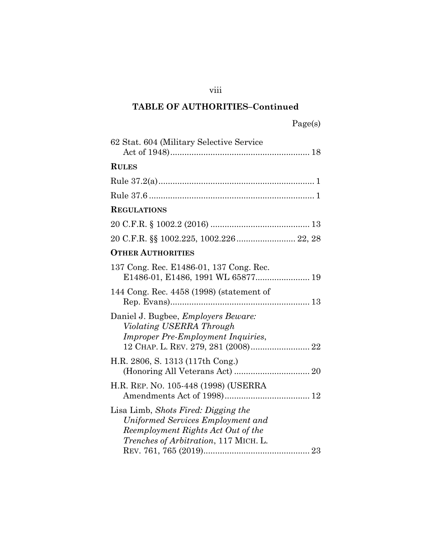| 62 Stat. 604 (Military Selective Service                                                                                                                        |
|-----------------------------------------------------------------------------------------------------------------------------------------------------------------|
| <b>RULES</b>                                                                                                                                                    |
|                                                                                                                                                                 |
|                                                                                                                                                                 |
| <b>REGULATIONS</b>                                                                                                                                              |
|                                                                                                                                                                 |
|                                                                                                                                                                 |
| <b>OTHER AUTHORITIES</b>                                                                                                                                        |
| 137 Cong. Rec. E1486-01, 137 Cong. Rec.                                                                                                                         |
| 144 Cong. Rec. 4458 (1998) (statement of                                                                                                                        |
| Daniel J. Bugbee, <i>Employers Beware</i> :<br>Violating USERRA Through<br><b>Improper Pre-Employment Inquiries,</b>                                            |
| H.R. 2806, S. 1313 (117th Cong.)                                                                                                                                |
| H.R. REP. No. 105-448 (1998) (USERRA                                                                                                                            |
| Lisa Limb, Shots Fired: Digging the<br>Uniformed Services Employment and<br>Reemployment Rights Act Out of the<br><i>Trenches of Arbitration</i> , 117 MICH. L. |

viii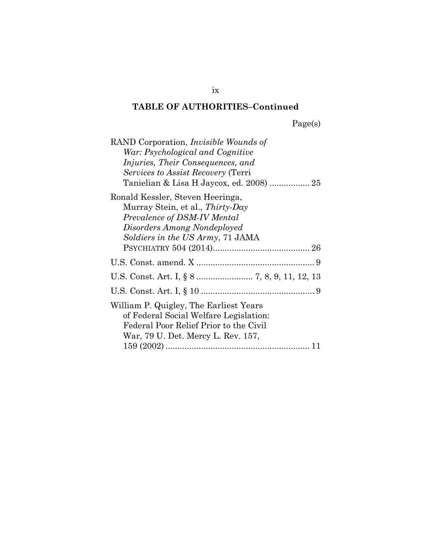Page(s)

| RAND Corporation, <i>Invisible Wounds of</i> |
|----------------------------------------------|
| War: Psychological and Cognitive             |
| <i>Injuries, Their Consequences, and</i>     |
| <i>Services to Assist Recovery</i> (Terri    |
| Tanielian & Lisa H Jaycox, ed. 2008)  25     |
| Ronald Kessler, Steven Heeringa,             |
| Murray Stein, et al., Thirty-Day             |
| Prevalence of DSM-IV Mental                  |
| Disorders Among Nondeployed                  |
| Soldiers in the US Army, 71 JAMA             |
|                                              |
|                                              |
|                                              |
|                                              |
| William P. Quigley, The Earliest Years       |
| of Federal Social Welfare Legislation:       |
| Federal Poor Relief Prior to the Civil       |
| War, 79 U. Det. Mercy L. Rev. 157,           |
| 11                                           |

ix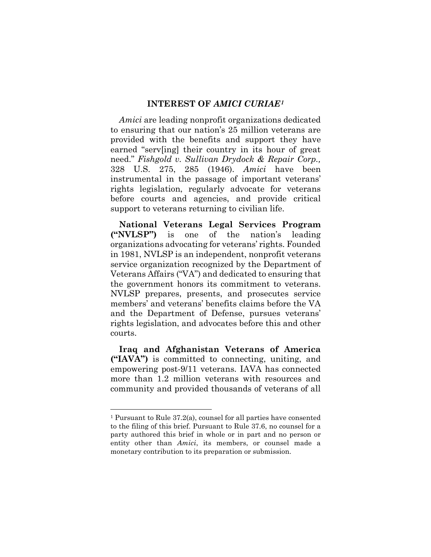#### **INTEREST OF** *AMICI CURIAE[1](#page-10-4)*

<span id="page-10-1"></span><span id="page-10-0"></span>*Amici* are leading nonprofit organizations dedicated to ensuring that our nation's 25 million veterans are provided with the benefits and support they have earned "serv[ing] their country in its hour of great need." *Fishgold v. Sullivan Drydock & Repair Corp.,*  328 U.S. 275, 285 (1946). *Amici* have been instrumental in the passage of important veterans' rights legislation, regularly advocate for veterans before courts and agencies, and provide critical support to veterans returning to civilian life.

**National Veterans Legal Services Program ("NVLSP")** is one of the nation's leading organizations advocating for veterans' rights. Founded in 1981, NVLSP is an independent, nonprofit veterans service organization recognized by the Department of Veterans Affairs ("VA") and dedicated to ensuring that the government honors its commitment to veterans. NVLSP prepares, presents, and prosecutes service members' and veterans' benefits claims before the VA and the Department of Defense, pursues veterans' rights legislation, and advocates before this and other courts.

**Iraq and Afghanistan Veterans of America ("IAVA")** is committed to connecting, uniting, and empowering post-9/11 veterans. IAVA has connected more than 1.2 million veterans with resources and community and provided thousands of veterans of all

<span id="page-10-4"></span><span id="page-10-3"></span><span id="page-10-2"></span><sup>1</sup> Pursuant to Rule 37.2(a), counsel for all parties have consented to the filing of this brief. Pursuant to Rule 37.6, no counsel for a party authored this brief in whole or in part and no person or entity other than *Amici*, its members, or counsel made a monetary contribution to its preparation or submission.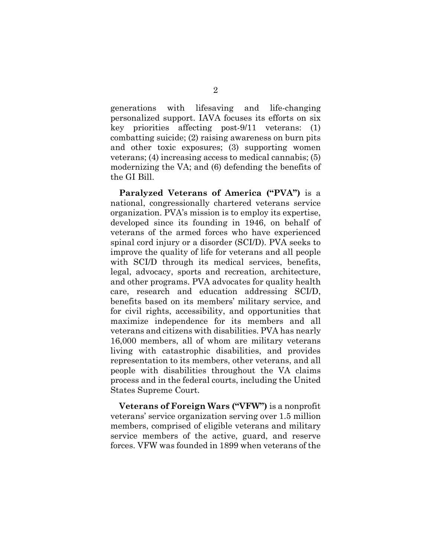generations with lifesaving and life-changing personalized support. IAVA focuses its efforts on six key priorities affecting post-9/11 veterans: (1) combatting suicide; (2) raising awareness on burn pits and other toxic exposures; (3) supporting women veterans; (4) increasing access to medical cannabis; (5) modernizing the VA; and (6) defending the benefits of the GI Bill.

**Paralyzed Veterans of America ("PVA")** is a national, congressionally chartered veterans service organization. PVA's mission is to employ its expertise, developed since its founding in 1946, on behalf of veterans of the armed forces who have experienced spinal cord injury or a disorder (SCI/D). PVA seeks to improve the quality of life for veterans and all people with SCI/D through its medical services, benefits, legal, advocacy, sports and recreation, architecture, and other programs. PVA advocates for quality health care, research and education addressing SCI/D, benefits based on its members' military service, and for civil rights, accessibility, and opportunities that maximize independence for its members and all veterans and citizens with disabilities. PVA has nearly 16,000 members, all of whom are military veterans living with catastrophic disabilities, and provides representation to its members, other veterans, and all people with disabilities throughout the VA claims process and in the federal courts, including the United States Supreme Court.

**Veterans of Foreign Wars ("VFW")** is a nonprofit veterans' service organization serving over 1.5 million members, comprised of eligible veterans and military service members of the active, guard, and reserve forces. VFW was founded in 1899 when veterans of the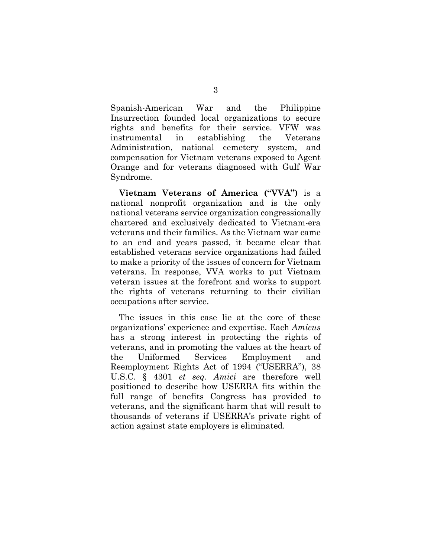Spanish-American War and the Philippine Insurrection founded local organizations to secure rights and benefits for their service. VFW was instrumental in establishing the Veterans Administration, national cemetery system, and compensation for Vietnam veterans exposed to Agent Orange and for veterans diagnosed with Gulf War Syndrome.

**Vietnam Veterans of America ("VVA")** is a national nonprofit organization and is the only national veterans service organization congressionally chartered and exclusively dedicated to Vietnam-era veterans and their families. As the Vietnam war came to an end and years passed, it became clear that established veterans service organizations had failed to make a priority of the issues of concern for Vietnam veterans. In response, VVA works to put Vietnam veteran issues at the forefront and works to support the rights of veterans returning to their civilian occupations after service.

<span id="page-12-0"></span>The issues in this case lie at the core of these organizations' experience and expertise. Each *Amicus*  has a strong interest in protecting the rights of veterans, and in promoting the values at the heart of the Uniformed Services Employment and Reemployment Rights Act of 1994 ("USERRA"), 38 U.S.C. § 4301 *et seq. Amici* are therefore well positioned to describe how USERRA fits within the full range of benefits Congress has provided to veterans, and the significant harm that will result to thousands of veterans if USERRA's private right of action against state employers is eliminated.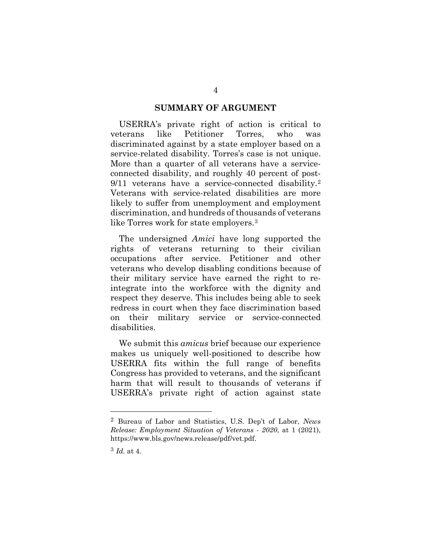#### **SUMMARY OF ARGUMENT**

<span id="page-13-0"></span>USERRA's private right of action is critical to veterans like Petitioner Torres, who was discriminated against by a state employer based on a service-related disability. Torres's case is not unique. More than a quarter of all veterans have a serviceconnected disability, and roughly 40 percent of post-9/11 veterans have a service-connected disability.[2](#page-13-1) Veterans with service-related disabilities are more likely to suffer from unemployment and employment discrimination, and hundreds of thousands of veterans like Torres work for state employers.[3](#page-13-2)

The undersigned *Amici* have long supported the rights of veterans returning to their civilian occupations after service. Petitioner and other veterans who develop disabling conditions because of their military service have earned the right to reintegrate into the workforce with the dignity and respect they deserve. This includes being able to seek redress in court when they face discrimination based on their military service or service-connected disabilities.

We submit this *amicus* brief because our experience makes us uniquely well-positioned to describe how USERRA fits within the full range of benefits Congress has provided to veterans, and the significant harm that will result to thousands of veterans if USERRA's private right of action against state

<span id="page-13-1"></span><sup>2</sup> Bureau of Labor and Statistics, U.S. Dep't of Labor, *News Release: Employment Situation of Veterans - 2020*, at 1 (2021), https://www.bls.gov/news.release/pdf/vet.pdf.

<span id="page-13-2"></span><sup>3</sup> *Id.* at 4.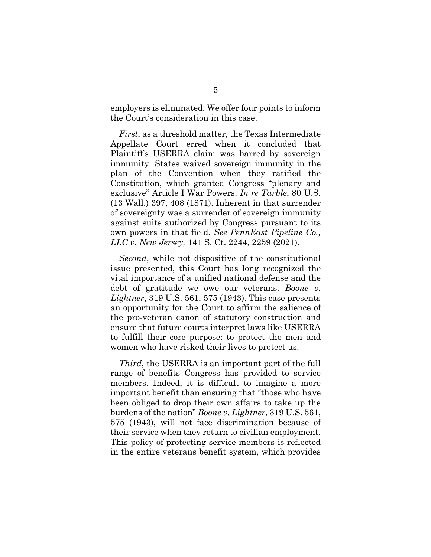employers is eliminated. We offer four points to inform the Court's consideration in this case.

<span id="page-14-1"></span>*First*, as a threshold matter, the Texas Intermediate Appellate Court erred when it concluded that Plaintiff's USERRA claim was barred by sovereign immunity. States waived sovereign immunity in the plan of the Convention when they ratified the Constitution, which granted Congress "plenary and exclusive" Article I War Powers. *In re Tarble*, 80 U.S. (13 Wall.) 397, 408 (1871). Inherent in that surrender of sovereignty was a surrender of sovereign immunity against suits authorized by Congress pursuant to its own powers in that field. *See PennEast Pipeline Co., LLC v. New Jersey,* 141 S. Ct. 2244, 2259 (2021).

<span id="page-14-2"></span><span id="page-14-0"></span>*Second*, while not dispositive of the constitutional issue presented, this Court has long recognized the vital importance of a unified national defense and the debt of gratitude we owe our veterans. *Boone v. Lightner*, 319 U.S. 561, 575 (1943). This case presents an opportunity for the Court to affirm the salience of the pro-veteran canon of statutory construction and ensure that future courts interpret laws like USERRA to fulfill their core purpose: to protect the men and women who have risked their lives to protect us.

*Third*, the USERRA is an important part of the full range of benefits Congress has provided to service members. Indeed, it is difficult to imagine a more important benefit than ensuring that "those who have been obliged to drop their own affairs to take up the burdens of the nation" *Boone v. Lightner*, 319 U.S. 561, 575 (1943), will not face discrimination because of their service when they return to civilian employment. This policy of protecting service members is reflected in the entire veterans benefit system, which provides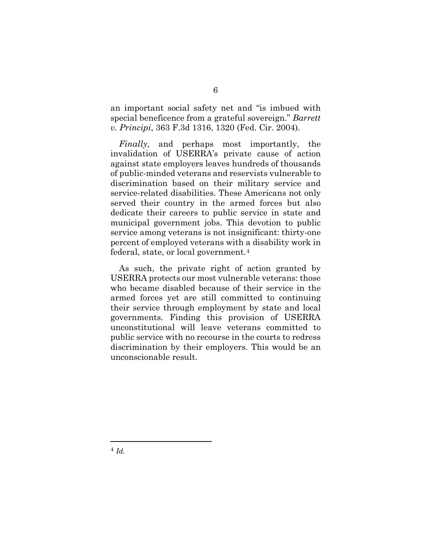<span id="page-15-0"></span>an important social safety net and "is imbued with special beneficence from a grateful sovereign." *Barrett v. Principi*, 363 F.3d 1316, 1320 (Fed. Cir. 2004).

*Finally*, and perhaps most importantly, the invalidation of USERRA's private cause of action against state employers leaves hundreds of thousands of public-minded veterans and reservists vulnerable to discrimination based on their military service and service-related disabilities. These Americans not only served their country in the armed forces but also dedicate their careers to public service in state and municipal government jobs. This devotion to public service among veterans is not insignificant: thirty-one percent of employed veterans with a disability work in federal, state, or local government.[4](#page-15-1)

As such, the private right of action granted by USERRA protects our most vulnerable veterans: those who became disabled because of their service in the armed forces yet are still committed to continuing their service through employment by state and local governments. Finding this provision of USERRA unconstitutional will leave veterans committed to public service with no recourse in the courts to redress discrimination by their employers. This would be an unconscionable result.

<span id="page-15-1"></span><sup>4</sup> *Id.*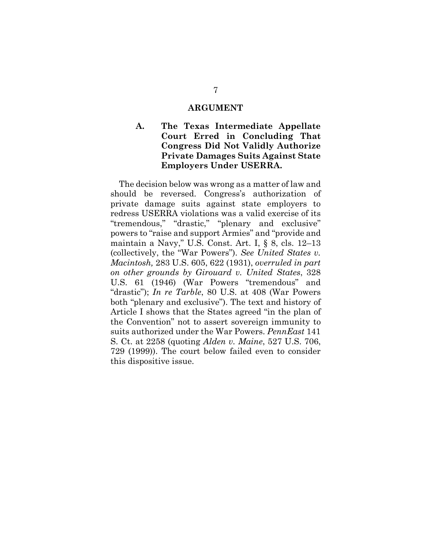#### <span id="page-16-4"></span>**ARGUMENT**

### <span id="page-16-1"></span><span id="page-16-0"></span>**A. The Texas Intermediate Appellate Court Erred in Concluding That Congress Did Not Validly Authorize Private Damages Suits Against State Employers Under USERRA.**

<span id="page-16-5"></span><span id="page-16-3"></span><span id="page-16-2"></span>The decision below was wrong as a matter of law and should be reversed. Congress's authorization of private damage suits against state employers to redress USERRA violations was a valid exercise of its "tremendous," "drastic," "plenary and exclusive" powers to "raise and support Armies" and "provide and maintain a Navy," U.S. Const. Art. I, § 8, cls. 12–13 (collectively, the "War Powers"). *See United States v. Macintosh,* 283 U.S. 605, 622 (1931), *overruled in part on other grounds by Girouard v. United States*, 328 U.S. 61 (1946) (War Powers "tremendous" and "drastic"); *In re Tarble*, 80 U.S. at 408 (War Powers both "plenary and exclusive"). The text and history of Article I shows that the States agreed "in the plan of the Convention" not to assert sovereign immunity to suits authorized under the War Powers. *PennEast* 141 S. Ct. at 2258 (quoting *Alden v. Maine*, 527 U.S. 706, 729 (1999)). The court below failed even to consider this dispositive issue.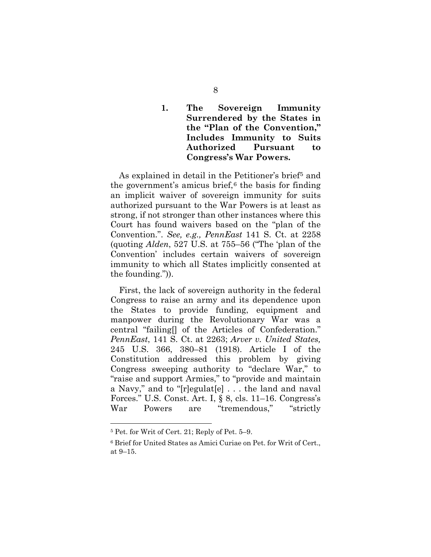### <span id="page-17-0"></span>**1. The Sovereign Immunity Surrendered by the States in the "Plan of the Convention," Includes Immunity to Suits Authorized Pursuant to Congress's War Powers.**

As explained in detail in the Petitioner's brief<sup>5</sup> and the government's amicus brief, $6$  the basis for finding an implicit waiver of sovereign immunity for suits authorized pursuant to the War Powers is at least as strong, if not stronger than other instances where this Court has found waivers based on the "plan of the Convention.". *See, e.g., PennEast* 141 S. Ct. at 2258 (quoting *Alden*, 527 U.S. at 755–56 ("The 'plan of the Convention' includes certain waivers of sovereign immunity to which all States implicitly consented at the founding.")).

<span id="page-17-1"></span>First, the lack of sovereign authority in the federal Congress to raise an army and its dependence upon the States to provide funding, equipment and manpower during the Revolutionary War was a central "failing[] of the Articles of Confederation." *PennEast*, 141 S. Ct. at 2263; *Arver v. United States,*  245 U.S. 366, 380–81 (1918). Article I of the Constitution addressed this problem by giving Congress sweeping authority to "declare War," to "raise and support Armies," to "provide and maintain a Navy," and to "[r]egulat[e] . . . the land and naval Forces." U.S. Const. Art. I, § 8, cls. 11–16. Congress's War Powers are "tremendous," "strictly

<sup>5</sup> Pet. for Writ of Cert. 21; Reply of Pet. 5–9.

<span id="page-17-3"></span><span id="page-17-2"></span><sup>6</sup> Brief for United States as Amici Curiae on Pet. for Writ of Cert., at 9–15.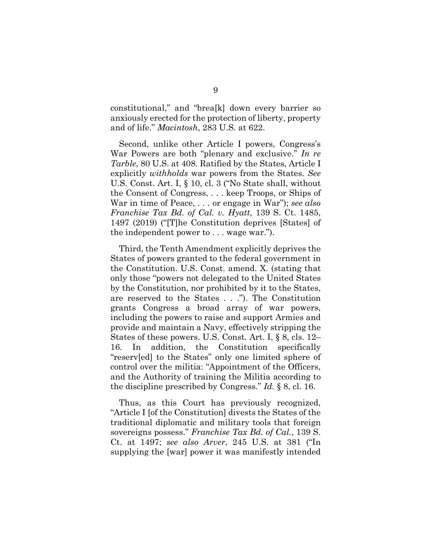constitutional," and "brea[k] down every barrier so anxiously erected for the protection of liberty, property and of life." *Macintosh*, 283 U.S. at 622.

<span id="page-18-4"></span><span id="page-18-2"></span>Second, unlike other Article I powers, Congress's War Powers are both "plenary and exclusive." *In re Tarble*, 80 U.S. at 408. Ratified by the States, Article I explicitly *withholds* war powers from the States. *See*  U.S. Const. Art. I, § 10, cl. 3 ("No State shall, without the Consent of Congress, . . . keep Troops, or Ships of War in time of Peace, . . . or engage in War"); *see also Franchise Tax Bd. of Cal. v. Hyatt*, 139 S. Ct. 1485, 1497 (2019) ("[T]he Constitution deprives [States] of the independent power to . . . wage war.").

<span id="page-18-3"></span>Third, the Tenth Amendment explicitly deprives the States of powers granted to the federal government in the Constitution. U.S. Const. amend. X. (stating that only those "powers not delegated to the United States by the Constitution, nor prohibited by it to the States, are reserved to the States . . ."). The Constitution grants Congress a broad array of war powers, including the powers to raise and support Armies and provide and maintain a Navy, effectively stripping the States of these powers. U.S. Const. Art. I, § 8, cls. 12– 16. In addition, the Constitution specifically "reserv[ed] to the States" only one limited sphere of control over the militia: "Appointment of the Officers, and the Authority of training the Militia according to the discipline prescribed by Congress." *Id.* § 8, cl. 16.

<span id="page-18-1"></span><span id="page-18-0"></span>Thus, as this Court has previously recognized, "Article I [of the Constitution] divests the States of the traditional diplomatic and military tools that foreign sovereigns possess." *Franchise Tax Bd. of Cal.*, 139 S. Ct. at 1497; *see also Arver*, 245 U.S. at 381 ("In supplying the [war] power it was manifestly intended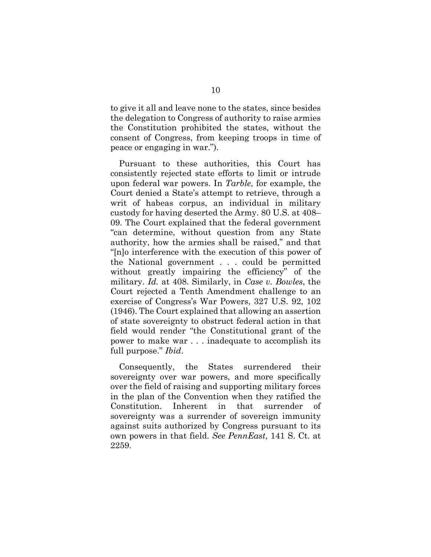to give it all and leave none to the states, since besides the delegation to Congress of authority to raise armies the Constitution prohibited the states, without the consent of Congress, from keeping troops in time of peace or engaging in war.").

<span id="page-19-1"></span>Pursuant to these authorities, this Court has consistently rejected state efforts to limit or intrude upon federal war powers. In *Tarble*, for example, the Court denied a State's attempt to retrieve, through a writ of habeas corpus, an individual in military custody for having deserted the Army. 80 U.S. at 408– 09. The Court explained that the federal government "can determine, without question from any State authority, how the armies shall be raised," and that "[n]o interference with the execution of this power of the National government . . . could be permitted without greatly impairing the efficiency" of the military. *Id.* at 408. Similarly, in *Case v. Bowles*, the Court rejected a Tenth Amendment challenge to an exercise of Congress's War Powers, 327 U.S. 92, 102 (1946). The Court explained that allowing an assertion of state sovereignty to obstruct federal action in that field would render "the Constitutional grant of the power to make war . . . inadequate to accomplish its full purpose." *Ibid*.

<span id="page-19-0"></span>Consequently, the States surrendered their sovereignty over war powers, and more specifically over the field of raising and supporting military forces in the plan of the Convention when they ratified the Constitution. Inherent in that surrender sovereignty was a surrender of sovereign immunity against suits authorized by Congress pursuant to its own powers in that field. *See PennEast*, 141 S. Ct. at 2259.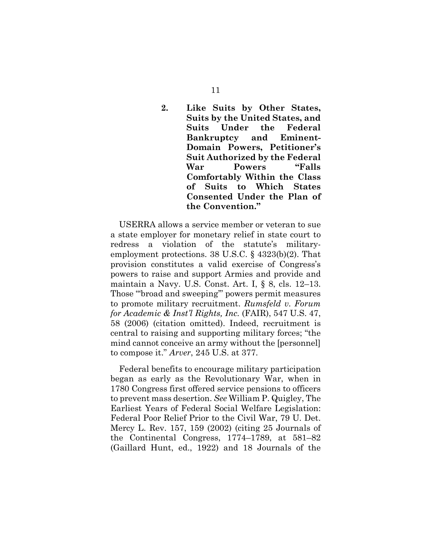<span id="page-20-0"></span>**2. Like Suits by Other States, Suits by the United States, and Suits Under the Federal Bankruptcy and Eminent-Domain Powers, Petitioner's Suit Authorized by the Federal War Powers "Falls Comfortably Within the Class of Suits to Which States Consented Under the Plan of the Convention."** 

<span id="page-20-3"></span>USERRA allows a service member or veteran to sue a state employer for monetary relief in state court to redress a violation of the statute's militaryemployment protections. 38 U.S.C. § 4323(b)(2). That provision constitutes a valid exercise of Congress's powers to raise and support Armies and provide and maintain a Navy. U.S. Const. Art. I, § 8, cls. 12–13. Those "'broad and sweeping'" powers permit measures to promote military recruitment. *Rumsfeld v. Forum for Academic & Inst'l Rights, Inc.* (FAIR), 547 U.S. 47, 58 (2006) (citation omitted). Indeed, recruitment is central to raising and supporting military forces; "the mind cannot conceive an army without the [personnel] to compose it." *Arver*, 245 U.S. at 377.

<span id="page-20-4"></span><span id="page-20-2"></span><span id="page-20-1"></span>Federal benefits to encourage military participation began as early as the Revolutionary War, when in 1780 Congress first offered service pensions to officers to prevent mass desertion. *See* William P. Quigley, The Earliest Years of Federal Social Welfare Legislation: Federal Poor Relief Prior to the Civil War, 79 U. Det. Mercy L. Rev. 157, 159 (2002) (citing 25 Journals of the Continental Congress, 1774–1789, at 581–82 (Gaillard Hunt, ed., 1922) and 18 Journals of the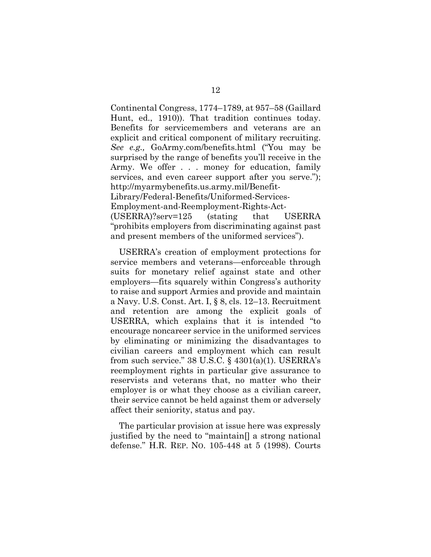Continental Congress, 1774–1789, at 957–58 (Gaillard Hunt, ed., 1910)). That tradition continues today. Benefits for servicemembers and veterans are an explicit and critical component of military recruiting. *See e.g.,* GoArmy.com/benefits.html ("You may be surprised by the range of benefits you'll receive in the Army. We offer . . . money for education, family services, and even career support after you serve."); http://myarmybenefits.us.army.mil/Benefit-Library/Federal-Benefits/Uniformed-Services-Employment-and-Reemployment-Rights-Act- (USERRA)?serv=125 (stating that USERRA "prohibits employers from discriminating against past and present members of the uniformed services").

<span id="page-21-2"></span>USERRA's creation of employment protections for service members and veterans—enforceable through suits for monetary relief against state and other employers—fits squarely within Congress's authority to raise and support Armies and provide and maintain a Navy. U.S. Const. Art. I, § 8, cls. 12–13. Recruitment and retention are among the explicit goals of USERRA, which explains that it is intended "to encourage noncareer service in the uniformed services by eliminating or minimizing the disadvantages to civilian careers and employment which can result from such service."  $38 \text{ U.S.C.}$  §  $4301(a)(1)$ . USERRA's reemployment rights in particular give assurance to reservists and veterans that, no matter who their employer is or what they choose as a civilian career, their service cannot be held against them or adversely affect their seniority, status and pay.

<span id="page-21-1"></span><span id="page-21-0"></span>The particular provision at issue here was expressly justified by the need to "maintain[] a strong national defense." H.R. REP. NO. 105-448 at 5 (1998). Courts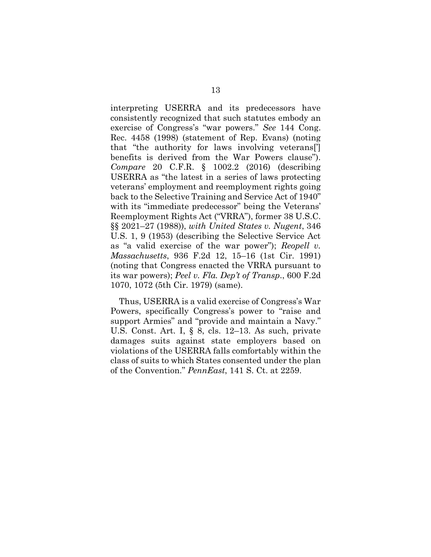<span id="page-22-6"></span><span id="page-22-5"></span><span id="page-22-4"></span>interpreting USERRA and its predecessors have consistently recognized that such statutes embody an exercise of Congress's "war powers." *See* 144 Cong. Rec. 4458 (1998) (statement of Rep. Evans) (noting that "the authority for laws involving veterans['] benefits is derived from the War Powers clause"). *Compare* 20 C.F.R. § 1002.2 (2016) (describing USERRA as "the latest in a series of laws protecting veterans' employment and reemployment rights going back to the Selective Training and Service Act of 1940" with its "immediate predecessor" being the Veterans' Reemployment Rights Act ("VRRA"), former 38 U.S.C. §§ 2021–27 (1988)), *with United States v. Nugent*, 346 U.S. 1, 9 (1953) (describing the Selective Service Act as "a valid exercise of the war power"); *Reopell v. Massachusetts*, 936 F.2d 12, 15–16 (1st Cir. 1991) (noting that Congress enacted the VRRA pursuant to its war powers); *Peel v. Fla. Dep't of Transp*., 600 F.2d 1070, 1072 (5th Cir. 1979) (same).

<span id="page-22-7"></span><span id="page-22-3"></span><span id="page-22-2"></span><span id="page-22-1"></span><span id="page-22-0"></span>Thus, USERRA is a valid exercise of Congress's War Powers, specifically Congress's power to "raise and support Armies" and "provide and maintain a Navy." U.S. Const. Art. I, § 8, cls. 12–13. As such, private damages suits against state employers based on violations of the USERRA falls comfortably within the class of suits to which States consented under the plan of the Convention." *PennEast*, 141 S. Ct. at 2259.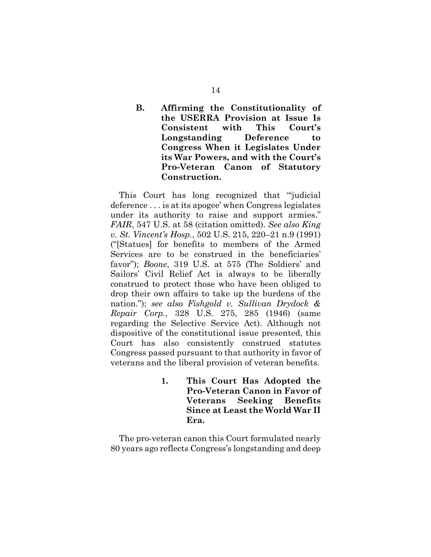### <span id="page-23-0"></span>**B. Affirming the Constitutionality of the USERRA Provision at Issue Is Consistent with This Court's Longstanding Deference to Congress When it Legislates Under its War Powers, and with the Court's Pro-Veteran Canon of Statutory Construction.**

<span id="page-23-4"></span><span id="page-23-3"></span>This Court has long recognized that "'judicial deference . . . is at its apogee' when Congress legislates under its authority to raise and support armies." *FAIR*, 547 U.S. at 58 (citation omitted). *See also King v. St. Vincent's Hosp.*, 502 U.S. 215, 220–21 n.9 (1991) ("[Statues] for benefits to members of the Armed Services are to be construed in the beneficiaries' favor"); *Boone*, 319 U.S. at 575 (The Soldiers' and Sailors' Civil Relief Act is always to be liberally construed to protect those who have been obliged to drop their own affairs to take up the burdens of the nation."); *see also Fishgold v. Sullivan Drydock & Repair Corp*., 328 U.S. 275, 285 (1946) (same regarding the Selective Service Act). Although not dispositive of the constitutional issue presented, this Court has also consistently construed statutes Congress passed pursuant to that authority in favor of veterans and the liberal provision of veteran benefits.

> <span id="page-23-2"></span><span id="page-23-1"></span>**1. This Court Has Adopted the Pro-Veteran Canon in Favor of Veterans Seeking Benefits Since at Least the World War II Era.**

The pro-veteran canon this Court formulated nearly 80 years ago reflects Congress's longstanding and deep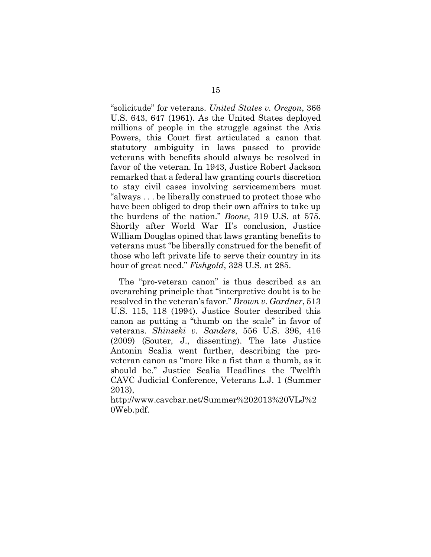<span id="page-24-3"></span>"solicitude" for veterans. *United States v. Oregon*, 366 U.S. 643, 647 (1961). As the United States deployed millions of people in the struggle against the Axis Powers, this Court first articulated a canon that statutory ambiguity in laws passed to provide veterans with benefits should always be resolved in favor of the veteran. In 1943, Justice Robert Jackson remarked that a federal law granting courts discretion to stay civil cases involving servicemembers must "always . . . be liberally construed to protect those who have been obliged to drop their own affairs to take up the burdens of the nation." *Boone*, 319 U.S. at 575. Shortly after World War II's conclusion, Justice William Douglas opined that laws granting benefits to veterans must "be liberally construed for the benefit of those who left private life to serve their country in its hour of great need." *Fishgold*, 328 U.S. at 285.

<span id="page-24-2"></span><span id="page-24-1"></span><span id="page-24-0"></span>The "pro-veteran canon" is thus described as an overarching principle that "interpretive doubt is to be resolved in the veteran's favor." *Brown v. Gardner*, 513 U.S. 115, 118 (1994). Justice Souter described this canon as putting a "thumb on the scale" in favor of veterans. *Shinseki v. Sanders*, 556 U.S. 396, 416 (2009) (Souter, J., dissenting). The late Justice Antonin Scalia went further, describing the proveteran canon as "more like a fist than a thumb, as it should be." Justice Scalia Headlines the Twelfth CAVC Judicial Conference, Veterans L.J. 1 (Summer 2013),

http://www.cavcbar.net/Summer%202013%20VLJ%2 0Web.pdf.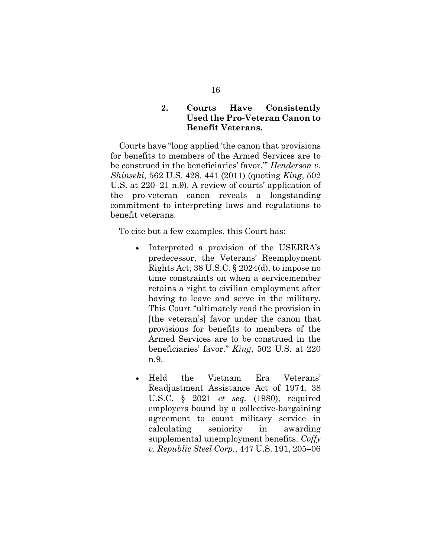### <span id="page-25-3"></span><span id="page-25-2"></span>**2. Courts Have Consistently Used the Pro-Veteran Canon to Benefit Veterans.**

<span id="page-25-0"></span>Courts have "long applied 'the canon that provisions for benefits to members of the Armed Services are to be construed in the beneficiaries' favor.'" *Henderson v. Shinseki*, 562 U.S. 428, 441 (2011) (quoting *King*, 502 U.S. at 220–21 n.9). A review of courts' application of the pro-veteran canon reveals a longstanding commitment to interpreting laws and regulations to benefit veterans.

To cite but a few examples, this Court has:

- Interpreted a provision of the USERRA's predecessor, the Veterans' Reemployment Rights Act, 38 U.S.C. § 2024(d), to impose no time constraints on when a servicemember retains a right to civilian employment after having to leave and serve in the military. This Court "ultimately read the provision in [the veteran's] favor under the canon that provisions for benefits to members of the Armed Services are to be construed in the beneficiaries' favor." *King*, 502 U.S. at 220 n.9.
- <span id="page-25-4"></span><span id="page-25-1"></span>• Held the Vietnam Era Veterans' Readjustment Assistance Act of 1974, 38 U.S.C. § 2021 *et seq.* (1980), required employers bound by a collective-bargaining agreement to count military service in calculating seniority in awarding supplemental unemployment benefits. *Coffy v. Republic Steel Corp.*, 447 U.S. 191, 205–06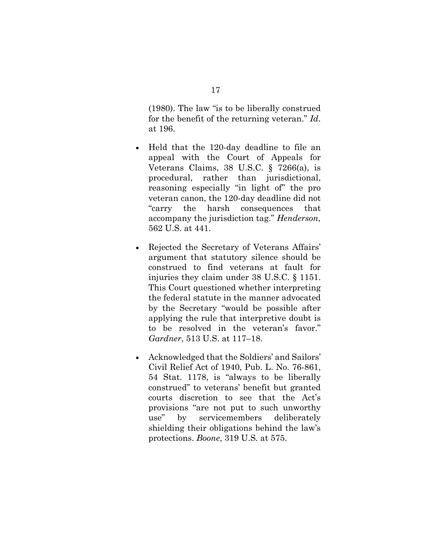(1980). The law "is to be liberally construed for the benefit of the returning veteran." *Id*. at 196.

- <span id="page-26-4"></span>• Held that the 120-day deadline to file an appeal with the Court of Appeals for Veterans Claims, 38 U.S.C. § 7266(a), is procedural, rather than jurisdictional, reasoning especially "in light of" the pro veteran canon, the 120-day deadline did not "carry the harsh consequences that accompany the jurisdiction tag." *Henderson*, 562 U.S. at 441.
- <span id="page-26-3"></span><span id="page-26-2"></span>• Rejected the Secretary of Veterans Affairs' argument that statutory silence should be construed to find veterans at fault for injuries they claim under 38 U.S.C. § 1151. This Court questioned whether interpreting the federal statute in the manner advocated by the Secretary "would be possible after applying the rule that interpretive doubt is to be resolved in the veteran's favor." *Gardner*, 513 U.S. at 117–18.
- <span id="page-26-5"></span><span id="page-26-1"></span><span id="page-26-0"></span>• Acknowledged that the Soldiers' and Sailors' Civil Relief Act of 1940, Pub. L. No. 76-861, 54 Stat. 1178, is "always to be liberally construed" to veterans' benefit but granted courts discretion to see that the Act's provisions "are not put to such unworthy use" by servicemembers deliberately shielding their obligations behind the law's protections. *Boone*, 319 U.S. at 575.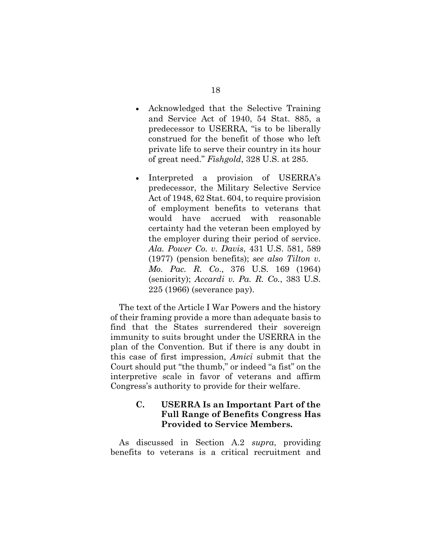- <span id="page-27-5"></span>• Acknowledged that the Selective Training and Service Act of 1940, 54 Stat. 885, a predecessor to USERRA, "is to be liberally construed for the benefit of those who left private life to serve their country in its hour of great need." *Fishgold*, 328 U.S. at 285.
- <span id="page-27-6"></span><span id="page-27-4"></span><span id="page-27-3"></span><span id="page-27-2"></span>• Interpreted a provision of USERRA's predecessor, the Military Selective Service Act of 1948, 62 Stat. 604, to require provision of employment benefits to veterans that would have accrued with reasonable certainty had the veteran been employed by the employer during their period of service. *Ala. Power Co. v. Davis*, 431 U.S. 581, 589 (1977) (pension benefits); *see also Tilton v. Mo. Pac. R. Co*., 376 U.S. 169 (1964) (seniority); *Accardi v. Pa. R. Co.*, 383 U.S. 225 (1966) (severance pay).

<span id="page-27-1"></span>The text of the Article I War Powers and the history of their framing provide a more than adequate basis to find that the States surrendered their sovereign immunity to suits brought under the USERRA in the plan of the Convention. But if there is any doubt in this case of first impression, *Amici* submit that the Court should put "the thumb," or indeed "a fist" on the interpretive scale in favor of veterans and affirm Congress's authority to provide for their welfare.

### <span id="page-27-0"></span>**C. USERRA Is an Important Part of the Full Range of Benefits Congress Has Provided to Service Members.**

As discussed in Section A.2 *supra*, providing benefits to veterans is a critical recruitment and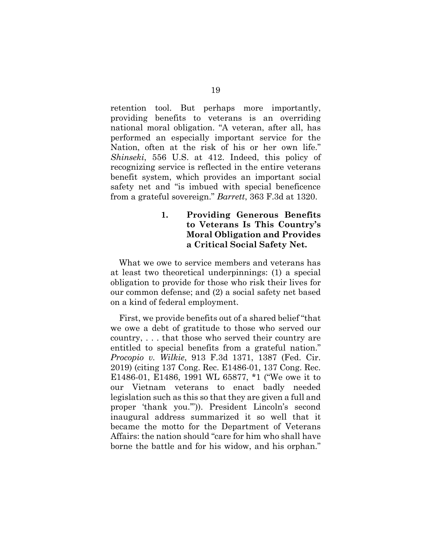<span id="page-28-3"></span>retention tool. But perhaps more importantly, providing benefits to veterans is an overriding national moral obligation. "A veteran, after all, has performed an especially important service for the Nation, often at the risk of his or her own life." *Shinseki*, 556 U.S. at 412. Indeed, this policy of recognizing service is reflected in the entire veterans benefit system, which provides an important social safety net and "is imbued with special beneficence from a grateful sovereign." *Barrett*, 363 F.3d at 1320.

### <span id="page-28-1"></span><span id="page-28-0"></span>**1. Providing Generous Benefits to Veterans Is This Country's Moral Obligation and Provides a Critical Social Safety Net.**

What we owe to service members and veterans has at least two theoretical underpinnings: (1) a special obligation to provide for those who risk their lives for our common defense; and (2) a social safety net based on a kind of federal employment.

<span id="page-28-4"></span><span id="page-28-2"></span>First, we provide benefits out of a shared belief "that we owe a debt of gratitude to those who served our country, . . . that those who served their country are entitled to special benefits from a grateful nation." *Procopio v. Wilkie*, 913 F.3d 1371, 1387 (Fed. Cir. 2019) (citing 137 Cong. Rec. E1486-01, 137 Cong. Rec. E1486-01, E1486, 1991 WL 65877, \*1 ("We owe it to our Vietnam veterans to enact badly needed legislation such as this so that they are given a full and proper 'thank you.'")). President Lincoln's second inaugural address summarized it so well that it became the motto for the Department of Veterans Affairs: the nation should "care for him who shall have borne the battle and for his widow, and his orphan."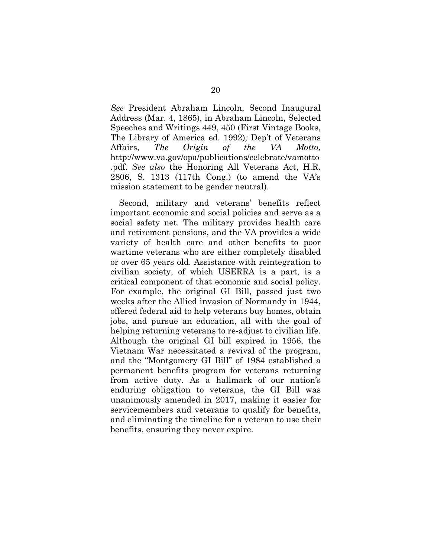*See* President Abraham Lincoln, Second Inaugural Address (Mar. 4, 1865), in Abraham Lincoln, Selected Speeches and Writings 449, 450 (First Vintage Books, The Library of America ed. 1992)*;* Dep't of Veterans Affairs, *The Origin of the VA Motto*, http://www.va.gov/opa/publications/celebrate/vamotto .pdf. *See also* the Honoring All Veterans Act, H.R. 2806, S. 1313 (117th Cong.) (to amend the VA's mission statement to be gender neutral).

<span id="page-29-0"></span>Second, military and veterans' benefits reflect important economic and social policies and serve as a social safety net. The military provides health care and retirement pensions, and the VA provides a wide variety of health care and other benefits to poor wartime veterans who are either completely disabled or over 65 years old. Assistance with reintegration to civilian society, of which USERRA is a part, is a critical component of that economic and social policy. For example, the original GI Bill, passed just two weeks after the Allied invasion of Normandy in 1944, offered federal aid to help veterans buy homes, obtain jobs, and pursue an education, all with the goal of helping returning veterans to re-adjust to civilian life. Although the original GI bill expired in 1956, the Vietnam War necessitated a revival of the program, and the "Montgomery GI Bill" of 1984 established a permanent benefits program for veterans returning from active duty. As a hallmark of our nation's enduring obligation to veterans, the GI Bill was unanimously amended in 2017, making it easier for servicemembers and veterans to qualify for benefits, and eliminating the timeline for a veteran to use their benefits, ensuring they never expire.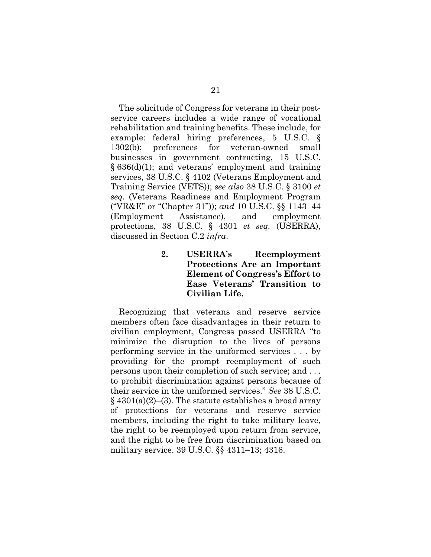<span id="page-30-5"></span>The solicitude of Congress for veterans in their postservice careers includes a wide range of vocational rehabilitation and training benefits. These include, for example: federal hiring preferences, 5 U.S.C. § 1302(b); preferences for veteran-owned small businesses in government contracting, 15 U.S.C.  $§ 636(d)(1);$  and veterans' employment and training services, 38 U.S.C. § 4102 (Veterans Employment and Training Service (VETS)); *see also* 38 U.S.C. § 3100 *et seq.* (Veterans Readiness and Employment Program ("VR&E" or "Chapter 31")); *and* 10 U.S.C. §§ 1143–44 (Employment Assistance), and employment protections, 38 U.S.C. § 4301 *et seq.* (USERRA), discussed in Section C.2 *infra*.

> <span id="page-30-4"></span><span id="page-30-3"></span><span id="page-30-2"></span><span id="page-30-1"></span><span id="page-30-0"></span>**2. USERRA's Reemployment Protections Are an Important Element of Congress's Effort to Ease Veterans' Transition to Civilian Life.**

<span id="page-30-6"></span>Recognizing that veterans and reserve service members often face disadvantages in their return to civilian employment, Congress passed USERRA "to minimize the disruption to the lives of persons performing service in the uniformed services . . . by providing for the prompt reemployment of such persons upon their completion of such service; and . . . to prohibit discrimination against persons because of their service in the uniformed services." *See* 38 U.S.C.  $\S$  4301(a)(2)–(3). The statute establishes a broad array of protections for veterans and reserve service members, including the right to take military leave, the right to be reemployed upon return from service, and the right to be free from discrimination based on military service. 39 U.S.C. §§ 4311–13; 4316.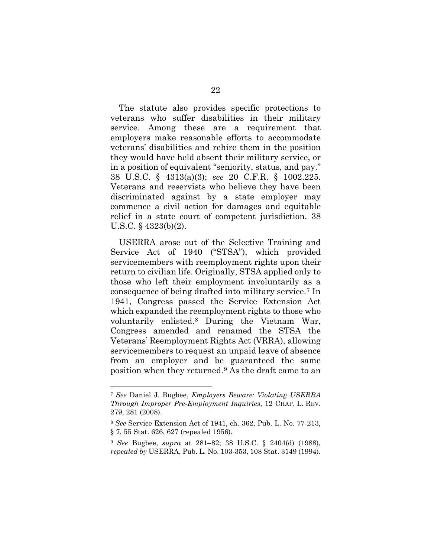The statute also provides specific protections to veterans who suffer disabilities in their military service. Among these are a requirement that employers make reasonable efforts to accommodate veterans' disabilities and rehire them in the position they would have held absent their military service, or in a position of equivalent "seniority, status, and pay." 38 U.S.C. § 4313(a)(3); *see* 20 C.F.R. § 1002.225. Veterans and reservists who believe they have been discriminated against by a state employer may commence a civil action for damages and equitable relief in a state court of competent jurisdiction. 38 U.S.C. § 4323(b)(2).

<span id="page-31-4"></span><span id="page-31-3"></span><span id="page-31-2"></span><span id="page-31-1"></span>USERRA arose out of the Selective Training and Service Act of 1940 ("STSA"), which provided servicemembers with reemployment rights upon their return to civilian life. Originally, STSA applied only to those who left their employment involuntarily as a consequence of being drafted into military service.[7](#page-31-6) In 1941, Congress passed the Service Extension Act which expanded the reemployment rights to those who voluntarily enlisted.[8](#page-31-7) During the Vietnam War, Congress amended and renamed the STSA the Veterans' Reemployment Rights Act (VRRA), allowing servicemembers to request an unpaid leave of absence from an employer and be guaranteed the same position when they returned.[9](#page-31-8) As the draft came to an

<span id="page-31-6"></span><sup>7</sup> *See* Daniel J. Bugbee, *Employers Beware: Violating USERRA Through Improper Pre-Employment Inquiries*, 12 CHAP. L. REV. 279, 281 (2008).

<span id="page-31-7"></span><sup>8</sup> *See* Service Extension Act of 1941, ch. 362, Pub. L. No. 77-213, § 7, 55 Stat. 626, 627 (repealed 1956).

<span id="page-31-8"></span><span id="page-31-5"></span><span id="page-31-0"></span><sup>9</sup> *See* Bugbee, *supra* at 281–82; 38 U.S.C. § 2404(d) (1988), *repealed by* USERRA, Pub. L. No. 103-353, 108 Stat. 3149 (1994).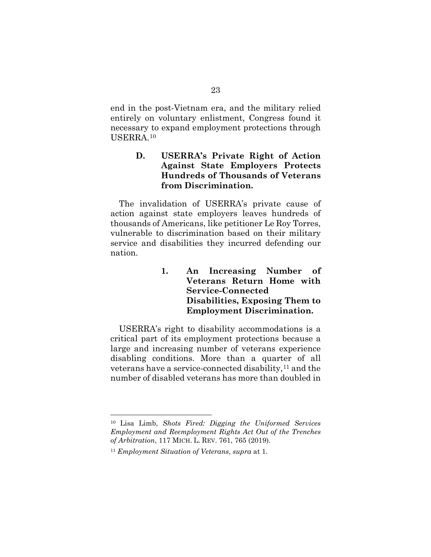end in the post-Vietnam era, and the military relied entirely on voluntary enlistment, Congress found it necessary to expand employment protections through USERRA.[10](#page-32-3)

### <span id="page-32-0"></span>**D. USERRA's Private Right of Action Against State Employers Protects Hundreds of Thousands of Veterans from Discrimination.**

The invalidation of USERRA's private cause of action against state employers leaves hundreds of thousands of Americans, like petitioner Le Roy Torres, vulnerable to discrimination based on their military service and disabilities they incurred defending our nation.

> <span id="page-32-1"></span>**1. An Increasing Number of Veterans Return Home with Service-Connected Disabilities, Exposing Them to Employment Discrimination.**

USERRA's right to disability accommodations is a critical part of its employment protections because a large and increasing number of veterans experience disabling conditions. More than a quarter of all veterans have a service-connected disability, $11$  and the number of disabled veterans has more than doubled in

<span id="page-32-3"></span><span id="page-32-2"></span><sup>10</sup> Lisa Limb, *Shots Fired: Digging the Uniformed Services Employment and Reemployment Rights Act Out of the Trenches of Arbitration*, 117 MICH. L. REV. 761, 765 (2019).

<span id="page-32-4"></span><sup>11</sup> *Employment Situation of Veterans*, *supra* at 1.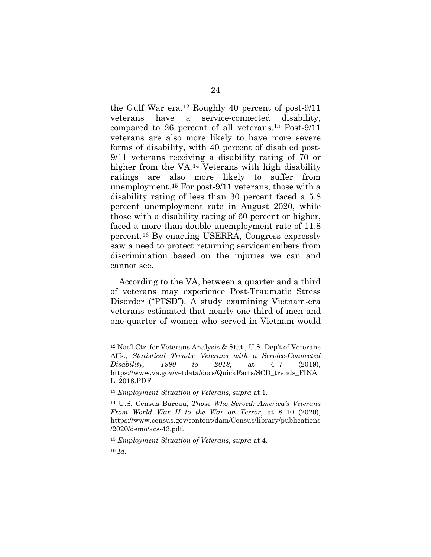the Gulf War era.[12](#page-33-0) Roughly 40 percent of post-9/11 veterans have a service-connected disability, compared to 26 percent of all veterans.[13](#page-33-1) Post-9/11 veterans are also more likely to have more severe forms of disability, with 40 percent of disabled post-9/11 veterans receiving a disability rating of 70 or higher from the VA.[14](#page-33-2) Veterans with high disability ratings are also more likely to suffer from unemployment.[15](#page-33-3) For post-9/11 veterans, those with a disability rating of less than 30 percent faced a 5.8 percent unemployment rate in August 2020, while those with a disability rating of 60 percent or higher, faced a more than double unemployment rate of 11.8 percent.[16](#page-33-4) By enacting USERRA, Congress expressly saw a need to protect returning servicemembers from discrimination based on the injuries we can and cannot see.

According to the VA, between a quarter and a third of veterans may experience Post-Traumatic Stress Disorder ("PTSD"). A study examining Vietnam-era veterans estimated that nearly one-third of men and one-quarter of women who served in Vietnam would

<span id="page-33-0"></span><sup>12</sup> Nat'l Ctr. for Veterans Analysis & Stat., U.S. Dep't of Veterans Affs., *Statistical Trends: Veterans with a Service-Connected Disability, 1990 to 2018*, at 4–7 (2019), https://www.va.gov/vetdata/docs/QuickFacts/SCD\_trends\_FINA L\_2018.PDF.

<sup>13</sup> *Employment Situation of Veterans*, *supra* at 1.

<span id="page-33-2"></span><span id="page-33-1"></span><sup>14</sup> U.S. Census Bureau, *Those Who Served: America's Veterans From World War II to the War on Terror*, at 8–10 (2020), https://www.census.gov/content/dam/Census/library/publications /2020/demo/acs-43.pdf.

<span id="page-33-3"></span><sup>15</sup> *Employment Situation of Veterans*, *supra* at 4.

<span id="page-33-4"></span><sup>16</sup> *Id.*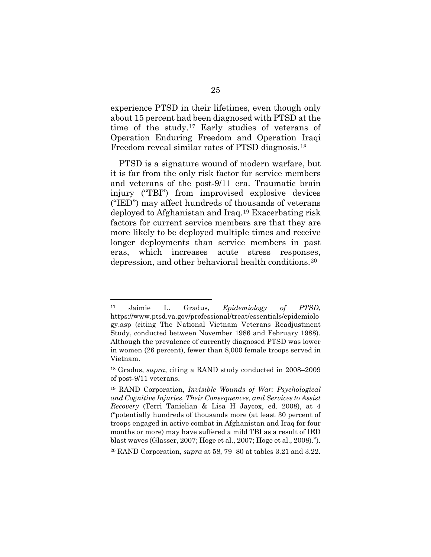experience PTSD in their lifetimes, even though only about 15 percent had been diagnosed with PTSD at the time of the study.[17](#page-34-1) Early studies of veterans of Operation Enduring Freedom and Operation Iraqi Freedom reveal similar rates of PTSD diagnosis.[18](#page-34-2)

PTSD is a signature wound of modern warfare, but it is far from the only risk factor for service members and veterans of the post-9/11 era. Traumatic brain injury ("TBI") from improvised explosive devices ("IED") may affect hundreds of thousands of veterans deployed to Afghanistan and Iraq.[19](#page-34-3) Exacerbating risk factors for current service members are that they are more likely to be deployed multiple times and receive longer deployments than service members in past eras, which increases acute stress responses, depression, and other behavioral health conditions.[20](#page-34-4)

<span id="page-34-1"></span><sup>17</sup> Jaimie L. Gradus, *Epidemiology of PTSD*, https://www.ptsd.va.gov/professional/treat/essentials/epidemiolo gy.asp (citing The National Vietnam Veterans Readjustment Study, conducted between November 1986 and February 1988). Although the prevalence of currently diagnosed PTSD was lower in women (26 percent), fewer than 8,000 female troops served in Vietnam.

<span id="page-34-2"></span><sup>18</sup> Gradus, *supra*, citing a RAND study conducted in 2008–2009 of post-9/11 veterans.

<span id="page-34-3"></span><span id="page-34-0"></span><sup>19</sup> RAND Corporation, *Invisible Wounds of War: Psychological and Cognitive Injuries, Their Consequences, and Services to Assist Recovery* (Terri Tanielian & Lisa H Jaycox, ed. 2008), at 4 ("potentially hundreds of thousands more (at least 30 percent of troops engaged in active combat in Afghanistan and Iraq for four months or more) may have suffered a mild TBI as a result of IED blast waves (Glasser, 2007; Hoge et al., 2007; Hoge et al., 2008).").

<span id="page-34-4"></span><sup>20</sup> RAND Corporation, *supra* at 58, 79–80 at tables 3.21 and 3.22.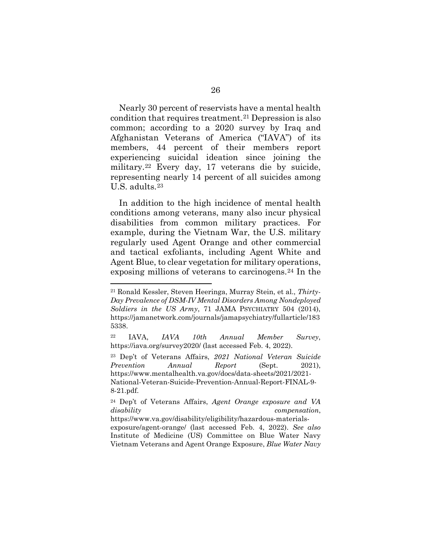Nearly 30 percent of reservists have a mental health condition that requires treatment.[21](#page-35-1) Depression is also common; according to a 2020 survey by Iraq and Afghanistan Veterans of America ("IAVA") of its members, 44 percent of their members report experiencing suicidal ideation since joining the military.[22](#page-35-2) Every day, 17 veterans die by suicide, representing nearly 14 percent of all suicides among U.S. adults.[23](#page-35-3)

In addition to the high incidence of mental health conditions among veterans, many also incur physical disabilities from common military practices. For example, during the Vietnam War, the U.S. military regularly used Agent Orange and other commercial and tactical exfoliants, including Agent White and Agent Blue, to clear vegetation for military operations, exposing millions of veterans to carcinogens.[24](#page-35-4) In the

<span id="page-35-1"></span><span id="page-35-0"></span><sup>21</sup> Ronald Kessler, Steven Heeringa, Murray Stein, et al., *Thirty-Day Prevalence of DSM-IV Mental Disorders Among Nondeployed Soldiers in the US Army*, 71 JAMA PSYCHIATRY 504 (2014), https://jamanetwork.com/journals/jamapsychiatry/fullarticle/183 5338.

<span id="page-35-2"></span><sup>22</sup> IAVA, *IAVA 10th Annual Member Survey*, https://iava.org/survey2020/ (last accessed Feb. 4, 2022).

<span id="page-35-3"></span><sup>23</sup> Dep't of Veterans Affairs, *2021 National Veteran Suicide Prevention Annual Report* (Sept. 2021), https://www.mentalhealth.va.gov/docs/data-sheets/2021/2021- National-Veteran-Suicide-Prevention-Annual-Report-FINAL-9- 8-21.pdf.

<span id="page-35-4"></span><sup>24</sup> Dep't of Veterans Affairs, *Agent Orange exposure and VA disability compensation*,

https://www.va.gov/disability/eligibility/hazardous-materialsexposure/agent-orange/ (last accessed Feb. 4, 2022). *See also*  Institute of Medicine (US) Committee on Blue Water Navy Vietnam Veterans and Agent Orange Exposure, *Blue Water Navy*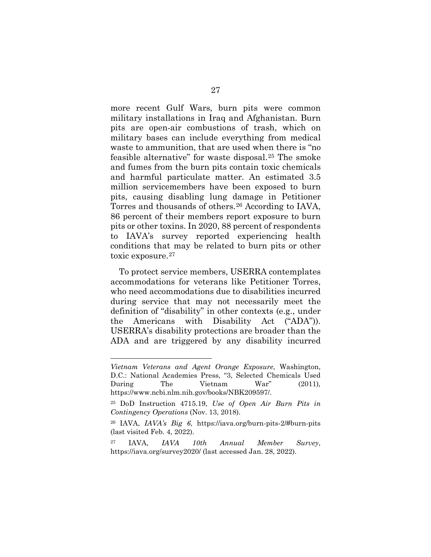more recent Gulf Wars, burn pits were common military installations in Iraq and Afghanistan. Burn pits are open-air combustions of trash, which on military bases can include everything from medical waste to ammunition, that are used when there is "no feasible alternative" for waste disposal.[25](#page-36-0) The smoke and fumes from the burn pits contain toxic chemicals and harmful particulate matter. An estimated 3.5 million servicemembers have been exposed to burn pits, causing disabling lung damage in Petitioner Torres and thousands of others.[26](#page-36-1) According to IAVA, 86 percent of their members report exposure to burn pits or other toxins. In 2020, 88 percent of respondents to IAVA's survey reported experiencing health conditions that may be related to burn pits or other toxic exposure.[27](#page-36-2)

To protect service members, USERRA contemplates accommodations for veterans like Petitioner Torres, who need accommodations due to disabilities incurred during service that may not necessarily meet the definition of "disability" in other contexts (e.g., under the Americans with Disability Act ("ADA")). USERRA's disability protections are broader than the ADA and are triggered by any disability incurred

*Vietnam Veterans and Agent Orange Exposure*, Washington, D.C.: National Academies Press, "3, Selected Chemicals Used During The Vietnam War" (2011), https://www.ncbi.nlm.nih.gov/books/NBK209597/.

<span id="page-36-0"></span><sup>25</sup> DoD Instruction 4715.19, *Use of Open Air Burn Pits in Contingency Operations* (Nov. 13, 2018).

<span id="page-36-1"></span><sup>26</sup> IAVA, *IAVA's Big 6*, https://iava.org/burn-pits-2/#burn-pits (last visited Feb. 4, 2022).

<span id="page-36-2"></span><sup>27</sup> IAVA, *IAVA 10th Annual Member Survey*, https://iava.org/survey2020/ (last accessed Jan. 28, 2022).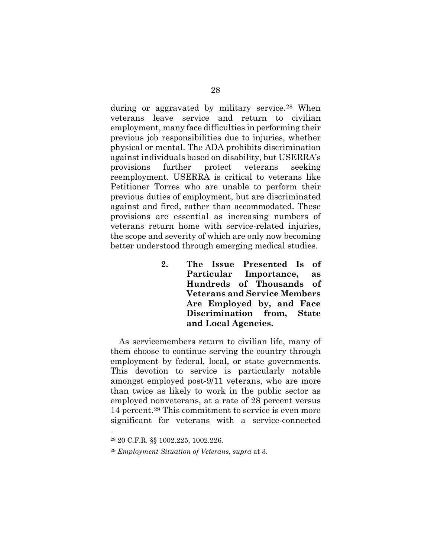during or aggravated by military service.<sup>[28](#page-37-2)</sup> When veterans leave service and return to civilian employment, many face difficulties in performing their previous job responsibilities due to injuries, whether physical or mental. The ADA prohibits discrimination against individuals based on disability, but USERRA's provisions further protect veterans seeking reemployment. USERRA is critical to veterans like Petitioner Torres who are unable to perform their previous duties of employment, but are discriminated against and fired, rather than accommodated. These provisions are essential as increasing numbers of veterans return home with service-related injuries, the scope and severity of which are only now becoming better understood through emerging medical studies.

> <span id="page-37-0"></span>**2. The Issue Presented Is of Particular Importance, as Hundreds of Thousands of Veterans and Service Members Are Employed by, and Face Discrimination from, State and Local Agencies.**

As servicemembers return to civilian life, many of them choose to continue serving the country through employment by federal, local, or state governments. This devotion to service is particularly notable amongst employed post-9/11 veterans, who are more than twice as likely to work in the public sector as employed nonveterans, at a rate of 28 percent versus 14 percent.[29](#page-37-3) This commitment to service is even more significant for veterans with a service-connected

<span id="page-37-1"></span><sup>28</sup> 20 C.F.R. §§ 1002.225, 1002.226.

<span id="page-37-3"></span><span id="page-37-2"></span><sup>29</sup> *Employment Situation of Veterans*, *supra* at 3.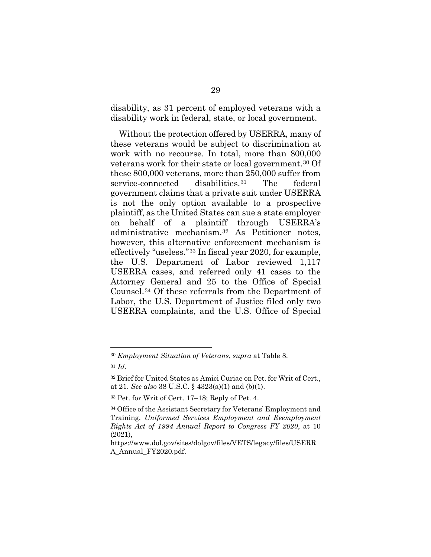disability, as 31 percent of employed veterans with a disability work in federal, state, or local government.

Without the protection offered by USERRA, many of these veterans would be subject to discrimination at work with no recourse. In total, more than 800,000 veterans work for their state or local government.[30](#page-38-1) Of these 800,000 veterans, more than 250,000 suffer from service-connected disabilities.[31](#page-38-2) The federal government claims that a private suit under USERRA is not the only option available to a prospective plaintiff, as the United States can sue a state employer on behalf of a plaintiff through USERRA's administrative mechanism.[32](#page-38-3) As Petitioner notes, however, this alternative enforcement mechanism is effectively "useless."[33](#page-38-4) In fiscal year 2020, for example, the U.S. Department of Labor reviewed 1,117 USERRA cases, and referred only 41 cases to the Attorney General and 25 to the Office of Special Counsel.[34](#page-38-5) Of these referrals from the Department of Labor, the U.S. Department of Justice filed only two USERRA complaints, and the U.S. Office of Special

<span id="page-38-2"></span><span id="page-38-1"></span><sup>30</sup> *Employment Situation of Veterans*, *supra* at Table 8. <sup>31</sup> *Id*.

<span id="page-38-3"></span><span id="page-38-0"></span><sup>32</sup> Brief for United States as Amici Curiae on Pet. for Writ of Cert., at 21. *See also* 38 U.S.C. § 4323(a)(1) and (b)(1).

<span id="page-38-4"></span><sup>33</sup> Pet. for Writ of Cert. 17–18; Reply of Pet. 4.

<span id="page-38-5"></span><sup>34</sup> Office of the Assistant Secretary for Veterans' Employment and Training, *Uniformed Services Employment and Reemployment Rights Act of 1994 Annual Report to Congress FY 2020*, at 10 (2021),

https://www.dol.gov/sites/dolgov/files/VETS/legacy/files/USERR A\_Annual\_FY2020.pdf.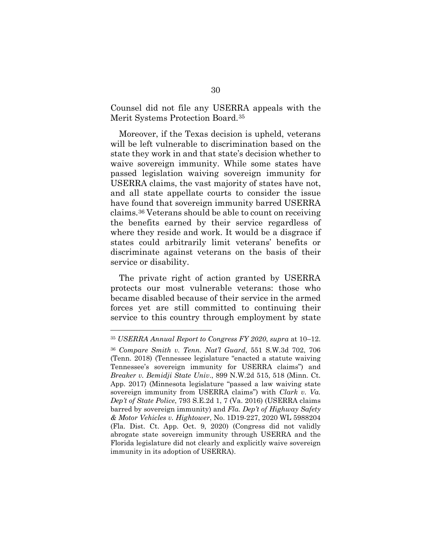Counsel did not file any USERRA appeals with the Merit Systems Protection Board.[35](#page-39-4)

Moreover, if the Texas decision is upheld, veterans will be left vulnerable to discrimination based on the state they work in and that state's decision whether to waive sovereign immunity. While some states have passed legislation waiving sovereign immunity for USERRA claims, the vast majority of states have not, and all state appellate courts to consider the issue have found that sovereign immunity barred USERRA claims.[36](#page-39-5) Veterans should be able to count on receiving the benefits earned by their service regardless of where they reside and work. It would be a disgrace if states could arbitrarily limit veterans' benefits or discriminate against veterans on the basis of their service or disability.

The private right of action granted by USERRA protects our most vulnerable veterans: those who became disabled because of their service in the armed forces yet are still committed to continuing their service to this country through employment by state

<span id="page-39-5"></span><span id="page-39-4"></span><span id="page-39-3"></span><span id="page-39-2"></span><span id="page-39-1"></span><span id="page-39-0"></span><sup>35</sup> *USERRA Annual Report to Congress FY 2020*, *supra* at 10–12. <sup>36</sup> *Compare Smith v. Tenn. Nat'l Guard*, 551 S.W.3d 702, 706 (Tenn. 2018) (Tennessee legislature "enacted a statute waiving Tennessee's sovereign immunity for USERRA claims") and *Breaker v. Bemidji State Univ*., 899 N.W.2d 515, 518 (Minn. Ct. App. 2017) (Minnesota legislature "passed a law waiving state sovereign immunity from USERRA claims") with *Clark v. Va. Dep't of State Police*, 793 S.E.2d 1, 7 (Va. 2016) (USERRA claims barred by sovereign immunity) and *Fla. Dep't of Highway Safety & Motor Vehicles v. Hightower*, No. 1D19-227, 2020 WL 5988204 (Fla. Dist. Ct. App. Oct. 9, 2020) (Congress did not validly abrogate state sovereign immunity through USERRA and the Florida legislature did not clearly and explicitly waive sovereign immunity in its adoption of USERRA).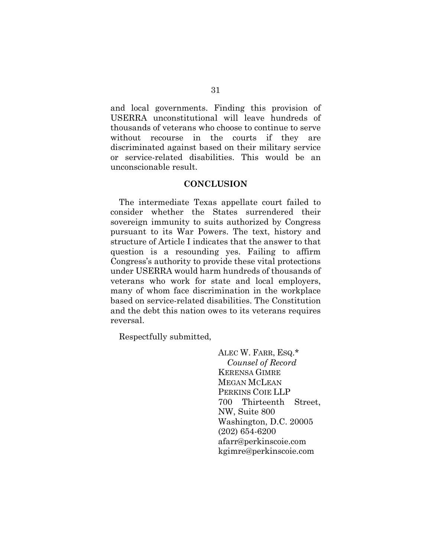and local governments. Finding this provision of USERRA unconstitutional will leave hundreds of thousands of veterans who choose to continue to serve without recourse in the courts if they are discriminated against based on their military service or service-related disabilities. This would be an unconscionable result.

#### **CONCLUSION**

<span id="page-40-0"></span>The intermediate Texas appellate court failed to consider whether the States surrendered their sovereign immunity to suits authorized by Congress pursuant to its War Powers. The text, history and structure of Article I indicates that the answer to that question is a resounding yes. Failing to affirm Congress's authority to provide these vital protections under USERRA would harm hundreds of thousands of veterans who work for state and local employers, many of whom face discrimination in the workplace based on service-related disabilities. The Constitution and the debt this nation owes to its veterans requires reversal.

Respectfully submitted,

ALEC W. FARR, ESQ.\* *Counsel of Record* KERENSA GIMRE MEGAN MCLEAN PERKINS COIE LLP 700 Thirteenth Street, NW, Suite 800 Washington, D.C. 20005 (202) 654-6200 afarr@perkinscoie.com kgimre@perkinscoie.com